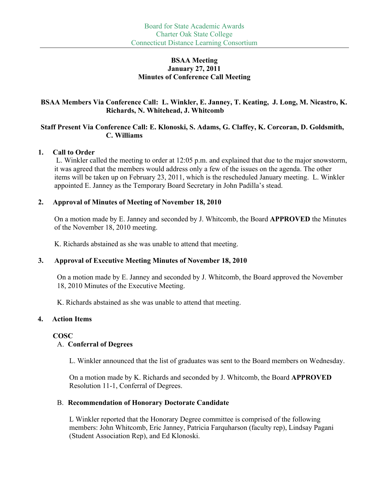#### **BSAA Meeting January 27, 2011 Minutes of Conference Call Meeting**

#### **BSAA Members Via Conference Call: L. Winkler, E. Janney, T. Keating, J. Long, M. Nicastro, K. Richards, N. Whitehead, J. Whitcomb**

## **Staff Present Via Conference Call: E. Klonoski, S. Adams, G. Claffey, K. Corcoran, D. Goldsmith, C. Williams**

#### **1. Call to Order**

L. Winkler called the meeting to order at 12:05 p.m. and explained that due to the major snowstorm, it was agreed that the members would address only a few of the issues on the agenda. The other items will be taken up on February 23, 2011, which is the rescheduled January meeting. L. Winkler appointed E. Janney as the Temporary Board Secretary in John Padilla's stead.

## **2. Approval of Minutes of Meeting of November 18, 2010**

On a motion made by E. Janney and seconded by J. Whitcomb, the Board **APPROVED** the Minutes of the November 18, 2010 meeting.

K. Richards abstained as she was unable to attend that meeting.

## **3. Approval of Executive Meeting Minutes of November 18, 2010**

On a motion made by E. Janney and seconded by J. Whitcomb, the Board approved the November 18, 2010 Minutes of the Executive Meeting.

K. Richards abstained as she was unable to attend that meeting.

## **4. Action Items**

## **COSC**

## A. **Conferral of Degrees**

L. Winkler announced that the list of graduates was sent to the Board members on Wednesday.

On a motion made by K. Richards and seconded by J. Whitcomb, the Board **APPROVED**  Resolution 11-1, Conferral of Degrees.

## B. **Recommendation of Honorary Doctorate Candidate**

L Winkler reported that the Honorary Degree committee is comprised of the following members: John Whitcomb, Eric Janney, Patricia Farquharson (faculty rep), Lindsay Pagani (Student Association Rep), and Ed Klonoski.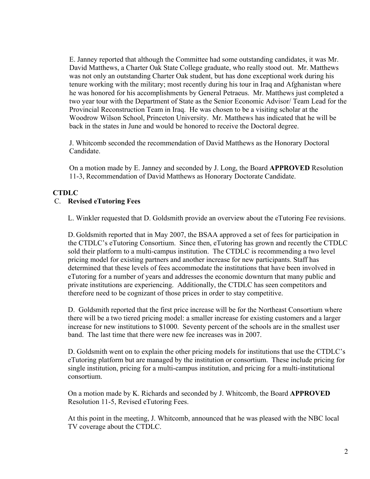E. Janney reported that although the Committee had some outstanding candidates, it was Mr. David Matthews, a Charter Oak State College graduate, who really stood out. Mr. Matthews was not only an outstanding Charter Oak student, but has done exceptional work during his tenure working with the military; most recently during his tour in Iraq and Afghanistan where he was honored for his accomplishments by General Petraeus. Mr. Matthews just completed a two year tour with the Department of State as the Senior Economic Advisor/ Team Lead for the Provincial Reconstruction Team in Iraq. He was chosen to be a visiting scholar at the Woodrow Wilson School, Princeton University. Mr. Matthews has indicated that he will be back in the states in June and would be honored to receive the Doctoral degree.

J. Whitcomb seconded the recommendation of David Matthews as the Honorary Doctoral Candidate.

On a motion made by E. Janney and seconded by J. Long, the Board **APPROVED** Resolution 11-3, Recommendation of David Matthews as Honorary Doctorate Candidate.

# **CTDLC**

#### C. **Revised eTutoring Fees**

L. Winkler requested that D. Goldsmith provide an overview about the eTutoring Fee revisions.

D. Goldsmith reported that in May 2007, the BSAA approved a set of fees for participation in the CTDLC's eTutoring Consortium. Since then, eTutoring has grown and recently the CTDLC sold their platform to a multi-campus institution. The CTDLC is recommending a two level pricing model for existing partners and another increase for new participants. Staff has determined that these levels of fees accommodate the institutions that have been involved in eTutoring for a number of years and addresses the economic downturn that many public and private institutions are experiencing. Additionally, the CTDLC has seen competitors and therefore need to be cognizant of those prices in order to stay competitive.

D. Goldsmith reported that the first price increase will be for the Northeast Consortium where there will be a two tiered pricing model: a smaller increase for existing customers and a larger increase for new institutions to \$1000. Seventy percent of the schools are in the smallest user band. The last time that there were new fee increases was in 2007.

D. Goldsmith went on to explain the other pricing models for institutions that use the CTDLC's eTutoring platform but are managed by the institution or consortium. These include pricing for single institution, pricing for a multi-campus institution, and pricing for a multi-institutional consortium.

On a motion made by K. Richards and seconded by J. Whitcomb, the Board **APPROVED** Resolution 11-5, Revised eTutoring Fees.

At this point in the meeting, J. Whitcomb, announced that he was pleased with the NBC local TV coverage about the CTDLC.